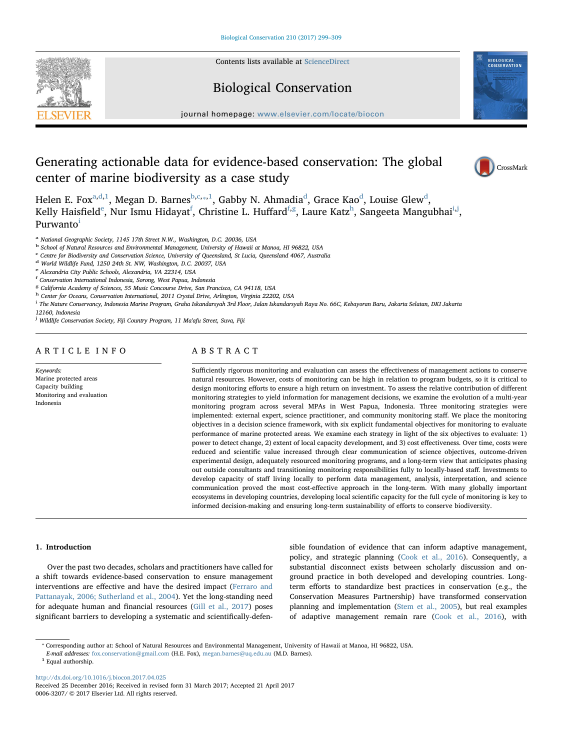

# Biological Conservation



journal homepage: [www.elsevier.com/locate/biocon](http://www.elsevier.com/locate/biocon)

# Generating actionable data for evidence-based conservation: The global center of marine biodiversity as a case study



Helen E. Fox $^{\rm a,d,1}$  $^{\rm a,d,1}$  $^{\rm a,d,1}$  $^{\rm a,d,1}$  $^{\rm a,d,1}$ , Megan D. Barnes $^{\rm b,c,*,1}$  $^{\rm b,c,*,1}$  $^{\rm b,c,*,1}$  $^{\rm b,c,*,1}$  $^{\rm b,c,*,1}$  $^{\rm b,c,*,1}$ , Gabby N. Ahma[d](#page-0-1)ia $^{\rm d}$ , Grace Kao $^{\rm d}$ , Louise Glew $^{\rm d}$ , K[e](#page-0-6)lly Hais[f](#page-0-7)ield<sup>e</sup>, Nur Ismu Hidayat<sup>f</sup>, Christine L. Huffard<sup>f,[g](#page-0-8)</sup>, Laure Katz<sup>[h](#page-0-9)</sup>, Sangeeta Mangubha[i](#page-0-10)<sup>i,[j](#page-0-11)</sup>, Purwanto

<span id="page-0-0"></span><sup>a</sup> National Geographic Society, 1145 17th Street N.W., Washington, D.C. 20036, USA

<span id="page-0-3"></span><sup>b</sup> School of Natural Resources and Environmental Management, University of Hawaii at Manoa, HI 96822, USA

<span id="page-0-4"></span><sup>c</sup> Centre for Biodiversity and Conservation Science, University of Queensland, St Lucia, Queensland 4067, Australia

<span id="page-0-1"></span> $^{\rm d}$  World Wildlife Fund, 1250 24th St. NW, Washington, D.C. 20037, USA e Alexandria City Public Schools, Alexandria, VA 22314, USA

<span id="page-0-6"></span>

<span id="page-0-7"></span>f Conservation International Indonesia, Sorong, West Papua, Indonesia

<span id="page-0-8"></span><sup>g</sup> California Academy of Sciences, 55 Music Concourse Drive, San Francisco, CA 94118, USA

<span id="page-0-9"></span>h Center for Oceans, Conservation International, 2011 Crystal Drive, Arlington, Virginia 22202, USA

<span id="page-0-10"></span>i The Nature Conservancy, Indonesia Marine Program, Graha Iskandarsyah 3rd Floor, Jalan Iskandarsyah Raya No. 66C, Kebayoran Baru, Jakarta Selatan, DKI Jakarta

12160, Indonesia

<span id="page-0-11"></span><sup>j</sup> Wildlife Conservation Society, Fiji Country Program, 11 Ma'afu Street, Suva, Fiji

### ARTICLE INFO

Keywords: Marine protected areas Capacity building Monitoring and evaluation Indonesia

## ABSTRACT

Sufficiently rigorous monitoring and evaluation can assess the effectiveness of management actions to conserve natural resources. However, costs of monitoring can be high in relation to program budgets, so it is critical to design monitoring efforts to ensure a high return on investment. To assess the relative contribution of different monitoring strategies to yield information for management decisions, we examine the evolution of a multi-year monitoring program across several MPAs in West Papua, Indonesia. Three monitoring strategies were implemented: external expert, science practitioner, and community monitoring staff. We place the monitoring objectives in a decision science framework, with six explicit fundamental objectives for monitoring to evaluate performance of marine protected areas. We examine each strategy in light of the six objectives to evaluate: 1) power to detect change, 2) extent of local capacity development, and 3) cost effectiveness. Over time, costs were reduced and scientific value increased through clear communication of science objectives, outcome-driven experimental design, adequately resourced monitoring programs, and a long-term view that anticipates phasing out outside consultants and transitioning monitoring responsibilities fully to locally-based staff. Investments to develop capacity of staff living locally to perform data management, analysis, interpretation, and science communication proved the most cost-effective approach in the long-term. With many globally important ecosystems in developing countries, developing local scientific capacity for the full cycle of monitoring is key to informed decision-making and ensuring long-term sustainability of efforts to conserve biodiversity.

#### 1. Introduction

Over the past two decades, scholars and practitioners have called for a shift towards evidence-based conservation to ensure management interventions are effective and have the desired impact [\(Ferraro and](#page-9-0) [Pattanayak, 2006; Sutherland et al., 2004\)](#page-9-0). Yet the long-standing need for adequate human and financial resources ([Gill et al., 2017](#page-9-1)) poses significant barriers to developing a systematic and scientifically-defensible foundation of evidence that can inform adaptive management, policy, and strategic planning [\(Cook et al., 2016](#page-9-2)). Consequently, a substantial disconnect exists between scholarly discussion and onground practice in both developed and developing countries. Longterm efforts to standardize best practices in conservation (e.g., the Conservation Measures Partnership) have transformed conservation planning and implementation [\(Stem et al., 2005\)](#page-10-0), but real examples of adaptive management remain rare [\(Cook et al., 2016\)](#page-9-2), with

<span id="page-0-5"></span>⁎ Corresponding author at: School of Natural Resources and Environmental Management, University of Hawaii at Manoa, HI 96822, USA.

E-mail addresses: [fox.conservation@gmail.com](mailto:fox.conservation@gmail.com) (H.E. Fox), [megan.barnes@uq.edu.au](mailto:megan.barnes@uq.edu.au) (M.D. Barnes).

<span id="page-0-2"></span> $^{\rm 1}$  Equal authorship.

<http://dx.doi.org/10.1016/j.biocon.2017.04.025>

Received 25 December 2016; Received in revised form 31 March 2017; Accepted 21 April 2017 0006-3207/ © 2017 Elsevier Ltd. All rights reserved.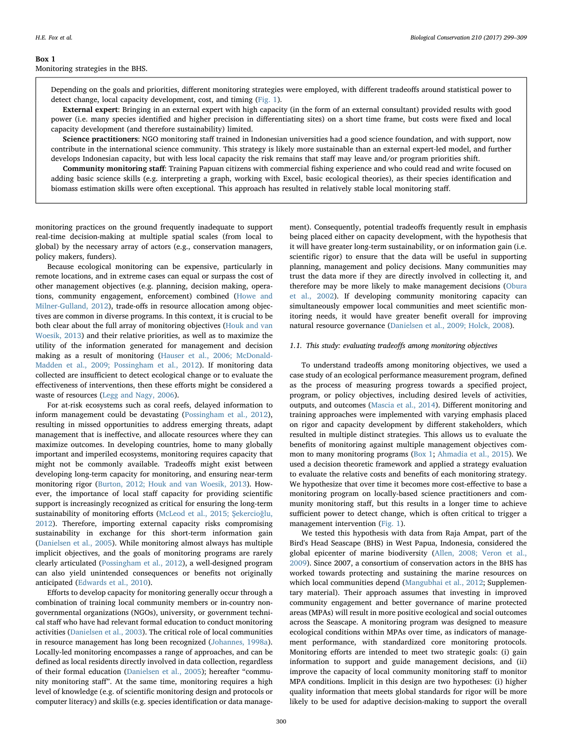### <span id="page-1-0"></span>Box 1

Monitoring strategies in the BHS.

Depending on the goals and priorities, different monitoring strategies were employed, with different tradeoffs around statistical power to detect change, local capacity development, cost, and timing [\(Fig. 1](#page-2-0)).

External expert: Bringing in an external expert with high capacity (in the form of an external consultant) provided results with good power (i.e. many species identified and higher precision in differentiating sites) on a short time frame, but costs were fixed and local capacity development (and therefore sustainability) limited.

Science practitioners: NGO monitoring staff trained in Indonesian universities had a good science foundation, and with support, now contribute in the international science community. This strategy is likely more sustainable than an external expert-led model, and further develops Indonesian capacity, but with less local capacity the risk remains that staff may leave and/or program priorities shift.

Community monitoring staff: Training Papuan citizens with commercial fishing experience and who could read and write focused on adding basic science skills (e.g. interpreting a graph, working with Excel, basic ecological theories), as their species identification and biomass estimation skills were often exceptional. This approach has resulted in relatively stable local monitoring staff.

monitoring practices on the ground frequently inadequate to support real-time decision-making at multiple spatial scales (from local to global) by the necessary array of actors (e.g., conservation managers, policy makers, funders).

Because ecological monitoring can be expensive, particularly in remote locations, and in extreme cases can equal or surpass the cost of other management objectives (e.g. planning, decision making, operations, community engagement, enforcement) combined [\(Howe and](#page-9-3) [Milner-Gulland, 2012\)](#page-9-3), trade-offs in resource allocation among objectives are common in diverse programs. In this context, it is crucial to be both clear about the full array of monitoring objectives ([Houk and van](#page-9-4) [Woesik, 2013](#page-9-4)) and their relative priorities, as well as to maximize the utility of the information generated for management and decision making as a result of monitoring [\(Hauser et al., 2006; McDonald-](#page-9-5)[Madden et al., 2009; Possingham et al., 2012\)](#page-9-5). If monitoring data collected are insufficient to detect ecological change or to evaluate the effectiveness of interventions, then these efforts might be considered a waste of resources ([Legg and Nagy, 2006](#page-9-6)).

For at-risk ecosystems such as coral reefs, delayed information to inform management could be devastating ([Possingham et al., 2012](#page-10-1)), resulting in missed opportunities to address emerging threats, adapt management that is ineffective, and allocate resources where they can maximize outcomes. In developing countries, home to many globally important and imperiled ecosystems, monitoring requires capacity that might not be commonly available. Tradeoffs might exist between developing long-term capacity for monitoring, and ensuring near-term monitoring rigor ([Burton, 2012; Houk and van Woesik, 2013](#page-9-7)). However, the importance of local staff capacity for providing scientific support is increasingly recognized as critical for ensuring the long-term sustainability of monitoring efforts [\(McLeod et al., 2015;](#page-10-2) Şekercioğlu, [2012\)](#page-10-2). Therefore, importing external capacity risks compromising sustainability in exchange for this short-term information gain ([Danielsen et al., 2005](#page-9-8)). While monitoring almost always has multiple implicit objectives, and the goals of monitoring programs are rarely clearly articulated ([Possingham et al., 2012\)](#page-10-1), a well-designed program can also yield unintended consequences or benefits not originally anticipated ([Edwards et al., 2010](#page-9-9)).

Efforts to develop capacity for monitoring generally occur through a combination of training local community members or in-country nongovernmental organizations (NGOs), university, or government technical staff who have had relevant formal education to conduct monitoring activities [\(Danielsen et al., 2003](#page-9-10)). The critical role of local communities in resource management has long been recognized ([Johannes, 1998a](#page-9-11)). Locally-led monitoring encompasses a range of approaches, and can be defined as local residents directly involved in data collection, regardless of their formal education [\(Danielsen et al., 2005](#page-9-8)); hereafter "community monitoring staff". At the same time, monitoring requires a high level of knowledge (e.g. of scientific monitoring design and protocols or computer literacy) and skills (e.g. species identification or data management). Consequently, potential tradeoffs frequently result in emphasis being placed either on capacity development, with the hypothesis that it will have greater long-term sustainability, or on information gain (i.e. scientific rigor) to ensure that the data will be useful in supporting planning, management and policy decisions. Many communities may trust the data more if they are directly involved in collecting it, and therefore may be more likely to make management decisions ([Obura](#page-10-3) [et al., 2002](#page-10-3)). If developing community monitoring capacity can simultaneously empower local communities and meet scientific monitoring needs, it would have greater benefit overall for improving natural resource governance [\(Danielsen et al., 2009; Holck, 2008](#page-9-12)).

#### 1.1. This study: evaluating tradeoffs among monitoring objectives

To understand tradeoffs among monitoring objectives, we used a case study of an ecological performance measurement program, defined as the process of measuring progress towards a specified project, program, or policy objectives, including desired levels of activities, outputs, and outcomes ([Mascia et al., 2014\)](#page-10-4). Different monitoring and training approaches were implemented with varying emphasis placed on rigor and capacity development by different stakeholders, which resulted in multiple distinct strategies. This allows us to evaluate the benefits of monitoring against multiple management objectives common to many monitoring programs ([Box 1](#page-1-0); [Ahmadia et al., 2015](#page-9-13)). We used a decision theoretic framework and applied a strategy evaluation to evaluate the relative costs and benefits of each monitoring strategy. We hypothesize that over time it becomes more cost-effective to base a monitoring program on locally-based science practitioners and community monitoring staff, but this results in a longer time to achieve sufficient power to detect change, which is often critical to trigger a management intervention ([Fig. 1\)](#page-2-0).

We tested this hypothesis with data from Raja Ampat, part of the Bird's Head Seascape (BHS) in West Papua, Indonesia, considered the global epicenter of marine biodiversity [\(Allen, 2008; Veron et al.,](#page-9-14) [2009\)](#page-9-14). Since 2007, a consortium of conservation actors in the BHS has worked towards protecting and sustaining the marine resources on which local communities depend ([Mangubhai et al., 2012](#page-9-15); Supplementary material). Their approach assumes that investing in improved community engagement and better governance of marine protected areas (MPAs) will result in more positive ecological and social outcomes across the Seascape. A monitoring program was designed to measure ecological conditions within MPAs over time, as indicators of management performance, with standardized core monitoring protocols. Monitoring efforts are intended to meet two strategic goals: (i) gain information to support and guide management decisions, and (ii) improve the capacity of local community monitoring staff to monitor MPA conditions. Implicit in this design are two hypotheses: (i) higher quality information that meets global standards for rigor will be more likely to be used for adaptive decision-making to support the overall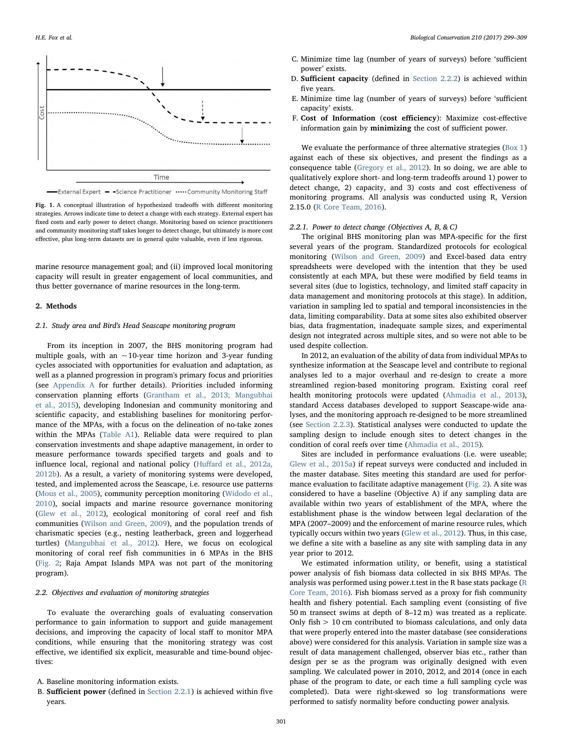<span id="page-2-0"></span>

Fig. 1. A conceptual illustration of hypothesized tradeoffs with different monitoring strategies. Arrows indicate time to detect a change with each strategy. External expert has fixed costs and early power to detect change. Monitoring based on science practitioners and community monitoring staff takes longer to detect change, but ultimately is more cost effective, plus long-term datasets are in general quite valuable, even if less rigorous.

marine resource management goal; and (ii) improved local monitoring capacity will result in greater engagement of local communities, and thus better governance of marine resources in the long-term.

#### <span id="page-2-2"></span>2. Methods

#### 2.1. Study area and Bird's Head Seascape monitoring program

From its inception in 2007, the BHS monitoring program had multiple goals, with an  $\sim$  10-year time horizon and 3-year funding cycles associated with opportunities for evaluation and adaptation, as well as a planned progression in program's primary focus and priorities (see [Appendix A](#page-8-0) for further details). Priorities included informing conservation planning efforts ([Grantham et al., 2013; Mangubhai](#page-9-16) [et al., 2015\)](#page-9-16), developing Indonesian and community monitoring and scientific capacity, and establishing baselines for monitoring performance of the MPAs, with a focus on the delineation of no-take zones within the MPAs ([Table A1\)](#page-8-1). Reliable data were required to plan conservation investments and shape adaptive management, in order to measure performance towards specified targets and goals and to influence local, regional and national policy (Huff[ard et al., 2012a,](#page-9-17) [2012b\)](#page-9-17). As a result, a variety of monitoring systems were developed, tested, and implemented across the Seascape, i.e. resource use patterns ([Mous et al., 2005\)](#page-10-5), community perception monitoring [\(Widodo et al.,](#page-10-6) [2010\)](#page-10-6), social impacts and marine resource governance monitoring ([Glew et al., 2012](#page-9-18)), ecological monitoring of coral reef and fish communities ([Wilson and Green, 2009\)](#page-10-7), and the population trends of charismatic species (e.g., nesting leatherback, green and loggerhead turtles) ([Mangubhai et al., 2012\)](#page-9-15). Here, we focus on ecological monitoring of coral reef fish communities in 6 MPAs in the BHS ([Fig. 2;](#page-3-0) Raja Ampat Islands MPA was not part of the monitoring program).

#### <span id="page-2-3"></span>2.2. Objectives and evaluation of monitoring strategies

To evaluate the overarching goals of evaluating conservation performance to gain information to support and guide management decisions, and improving the capacity of local staff to monitor MPA conditions, while ensuring that the monitoring strategy was cost effective, we identified six explicit, measurable and time-bound objectives:

- A. Baseline monitoring information exists.
- B. Sufficient power (defined in [Section 2.2.1](#page-2-1)) is achieved within five years.
- C. Minimize time lag (number of years of surveys) before 'sufficient power' exists.
- D. Sufficient capacity (defined in [Section](#page-3-1) 2.2.2) is achieved within five years.
- E. Minimize time lag (number of years of surveys) before 'sufficient capacity' exists.
- F. Cost of Information (cost efficiency): Maximize cost-effective information gain by minimizing the cost of sufficient power.

We evaluate the performance of three alternative strategies ([Box 1\)](#page-1-0) against each of these six objectives, and present the findings as a consequence table ([Gregory et al., 2012\)](#page-9-19). In so doing, we are able to qualitatively explore short- and long-term tradeoffs around 1) power to detect change, 2) capacity, and 3) costs and cost effectiveness of monitoring programs. All analysis was conducted using R, Version 2.15.0 ([R Core Team, 2016\)](#page-10-8).

#### <span id="page-2-1"></span>2.2.1. Power to detect change (Objectives A, B, & C)

The original BHS monitoring plan was MPA-specific for the first several years of the program. Standardized protocols for ecological monitoring ([Wilson and Green, 2009\)](#page-10-7) and Excel-based data entry spreadsheets were developed with the intention that they be used consistently at each MPA, but these were modified by field teams in several sites (due to logistics, technology, and limited staff capacity in data management and monitoring protocols at this stage). In addition, variation in sampling led to spatial and temporal inconsistencies in the data, limiting comparability. Data at some sites also exhibited observer bias, data fragmentation, inadequate sample sizes, and experimental design not integrated across multiple sites, and so were not able to be used despite collection.

In 2012, an evaluation of the ability of data from individual MPAs to synthesize information at the Seascape level and contribute to regional analyses led to a major overhaul and re-design to create a more streamlined region-based monitoring program. Existing coral reef health monitoring protocols were updated ([Ahmadia et al., 2013](#page-9-20)), standard Access databases developed to support Seascape-wide analyses, and the monitoring approach re-designed to be more streamlined (see [Section 2.2.3\)](#page-3-2). Statistical analyses were conducted to update the sampling design to include enough sites to detect changes in the condition of coral reefs over time ([Ahmadia et al., 2015\)](#page-9-13).

Sites are included in performance evaluations (i.e. were useable; [Glew et al., 2015a](#page-9-21)) if repeat surveys were conducted and included in the master database. Sites meeting this standard are used for performance evaluation to facilitate adaptive management ([Fig. 2](#page-3-0)). A site was considered to have a baseline (Objective A) if any sampling data are available within two years of establishment of the MPA, where the establishment phase is the window between legal declaration of the MPA (2007–2009) and the enforcement of marine resource rules, which typically occurs within two years ([Glew et al., 2012\)](#page-9-18). Thus, in this case, we define a site with a baseline as any site with sampling data in any year prior to 2012.

We estimated information utility, or benefit, using a statistical power analysis of fish biomass data collected in six BHS MPAs. The analysis was performed using power.t.test in the R base stats package [\(R](#page-10-8) [Core Team, 2016](#page-10-8)). Fish biomass served as a proxy for fish community health and fishery potential. Each sampling event (consisting of five 50 m transect swims at depth of 8–12 m) was treated as a replicate. Only fish > 10 cm contributed to biomass calculations, and only data that were properly entered into the master database (see considerations above) were considered for this analysis. Variation in sample size was a result of data management challenged, observer bias etc., rather than design per se as the program was originally designed with even sampling. We calculated power in 2010, 2012, and 2014 (once in each phase of the program to date, or each time a full sampling cycle was completed). Data were right-skewed so log transformations were performed to satisfy normality before conducting power analysis.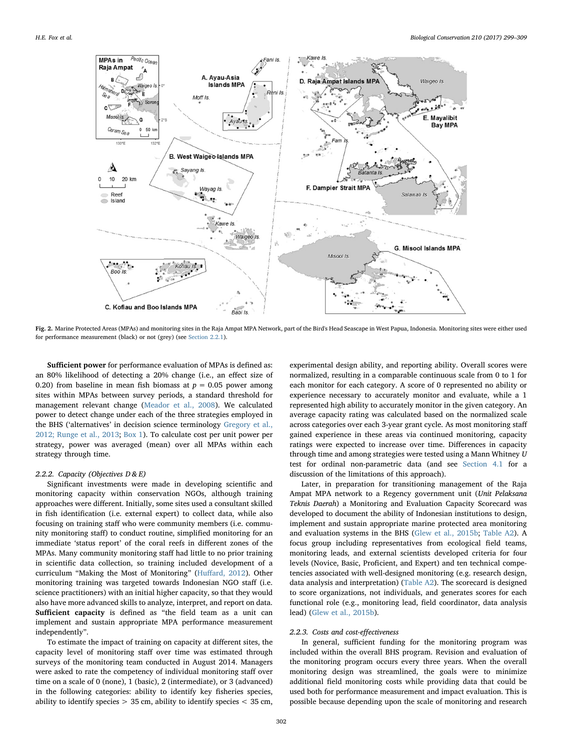<span id="page-3-0"></span>

Fig. 2. Marine Protected Areas (MPAs) and monitoring sites in the Raja Ampat MPA Network, part of the Bird's Head Seascape in West Papua, Indonesia. Monitoring sites were either used for performance measurement (black) or not (grey) (see [Section 2.2.1\)](#page-2-1).

Sufficient power for performance evaluation of MPAs is defined as: an 80% likelihood of detecting a 20% change (i.e., an effect size of 0.20) from baseline in mean fish biomass at  $p = 0.05$  power among sites within MPAs between survey periods, a standard threshold for management relevant change ([Meador et al., 2008\)](#page-10-9). We calculated power to detect change under each of the three strategies employed in the BHS ('alternatives' in decision science terminology [Gregory et al.,](#page-9-19) [2012; Runge et al., 2013](#page-9-19); [Box 1](#page-1-0)). To calculate cost per unit power per strategy, power was averaged (mean) over all MPAs within each strategy through time.

#### <span id="page-3-1"></span>2.2.2. Capacity (Objectives D & E)

Significant investments were made in developing scientific and monitoring capacity within conservation NGOs, although training approaches were different. Initially, some sites used a consultant skilled in fish identification (i.e. external expert) to collect data, while also focusing on training staff who were community members (i.e. community monitoring staff) to conduct routine, simplified monitoring for an immediate 'status report' of the coral reefs in different zones of the MPAs. Many community monitoring staff had little to no prior training in scientific data collection, so training included development of a curriculum "Making the Most of Monitoring" (Huff[ard, 2012\)](#page-9-22). Other monitoring training was targeted towards Indonesian NGO staff (i.e. science practitioners) with an initial higher capacity, so that they would also have more advanced skills to analyze, interpret, and report on data. Sufficient capacity is defined as "the field team as a unit can implement and sustain appropriate MPA performance measurement independently".

To estimate the impact of training on capacity at different sites, the capacity level of monitoring staff over time was estimated through surveys of the monitoring team conducted in August 2014. Managers were asked to rate the competency of individual monitoring staff over time on a scale of 0 (none), 1 (basic), 2 (intermediate), or 3 (advanced) in the following categories: ability to identify key fisheries species, ability to identify species > 35 cm, ability to identify species < 35 cm,

experimental design ability, and reporting ability. Overall scores were normalized, resulting in a comparable continuous scale from 0 to 1 for each monitor for each category. A score of 0 represented no ability or experience necessary to accurately monitor and evaluate, while a 1 represented high ability to accurately monitor in the given category. An average capacity rating was calculated based on the normalized scale across categories over each 3-year grant cycle. As most monitoring staff gained experience in these areas via continued monitoring, capacity ratings were expected to increase over time. Differences in capacity through time and among strategies were tested using a Mann Whitney U test for ordinal non-parametric data (and see [Section 4.1](#page-6-0) for a discussion of the limitations of this approach).

Later, in preparation for transitioning management of the Raja Ampat MPA network to a Regency government unit (Unit Pelaksana Teknis Daerah) a Monitoring and Evaluation Capacity Scorecard was developed to document the ability of Indonesian institutions to design, implement and sustain appropriate marine protected area monitoring and evaluation systems in the BHS ([Glew et al., 2015b](#page-9-23); [Table A2\)](#page-9-24). A focus group including representatives from ecological field teams, monitoring leads, and external scientists developed criteria for four levels (Novice, Basic, Proficient, and Expert) and ten technical competencies associated with well-designed monitoring (e.g. research design, data analysis and interpretation) [\(Table A2](#page-9-24)). The scorecard is designed to score organizations, not individuals, and generates scores for each functional role (e.g., monitoring lead, field coordinator, data analysis lead) [\(Glew et al., 2015b\)](#page-9-23).

#### <span id="page-3-2"></span>2.2.3. Costs and cost-effectiveness

In general, sufficient funding for the monitoring program was included within the overall BHS program. Revision and evaluation of the monitoring program occurs every three years. When the overall monitoring design was streamlined, the goals were to minimize additional field monitoring costs while providing data that could be used both for performance measurement and impact evaluation. This is possible because depending upon the scale of monitoring and research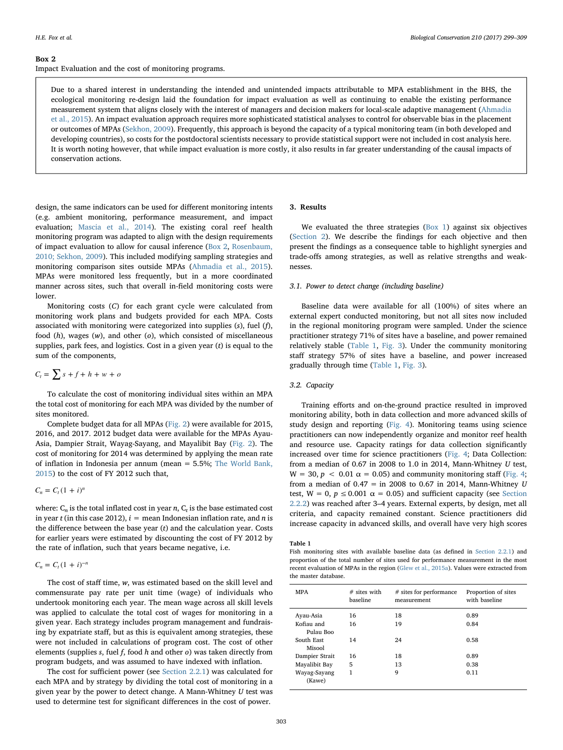#### <span id="page-4-0"></span>Box 2

Impact Evaluation and the cost of monitoring programs.

Due to a shared interest in understanding the intended and unintended impacts attributable to MPA establishment in the BHS, the ecological monitoring re-design laid the foundation for impact evaluation as well as continuing to enable the existing performance measurement system that aligns closely with the interest of managers and decision makers for local-scale adaptive management [\(Ahmadia](#page-9-13) [et al., 2015](#page-9-13)). An impact evaluation approach requires more sophisticated statistical analyses to control for observable bias in the placement or outcomes of MPAs ([Sekhon, 2009\)](#page-10-12). Frequently, this approach is beyond the capacity of a typical monitoring team (in both developed and developing countries), so costs for the postdoctoral scientists necessary to provide statistical support were not included in cost analysis here. It is worth noting however, that while impact evaluation is more costly, it also results in far greater understanding of the causal impacts of conservation actions.

design, the same indicators can be used for different monitoring intents (e.g. ambient monitoring, performance measurement, and impact evaluation; [Mascia et al., 2014](#page-10-4)). The existing coral reef health monitoring program was adapted to align with the design requirements of impact evaluation to allow for causal inference [\(Box 2,](#page-4-0) [Rosenbaum,](#page-10-10) [2010; Sekhon, 2009\)](#page-10-10). This included modifying sampling strategies and monitoring comparison sites outside MPAs [\(Ahmadia et al., 2015](#page-9-13)). MPAs were monitored less frequently, but in a more coordinated manner across sites, such that overall in-field monitoring costs were lower.

Monitoring costs (C) for each grant cycle were calculated from monitoring work plans and budgets provided for each MPA. Costs associated with monitoring were categorized into supplies (s), fuel (f), food  $(h)$ , wages  $(w)$ , and other  $(o)$ , which consisted of miscellaneous supplies, park fees, and logistics. Cost in a given year  $(t)$  is equal to the sum of the components,

$$
C_t = \sum s + f + h + w + o
$$

To calculate the cost of monitoring individual sites within an MPA the total cost of monitoring for each MPA was divided by the number of sites monitored.

Complete budget data for all MPAs ([Fig. 2\)](#page-3-0) were available for 2015, 2016, and 2017. 2012 budget data were available for the MPAs Ayau-Asia, Dampier Strait, Wayag-Sayang, and Mayalibit Bay [\(Fig. 2\)](#page-3-0). The cost of monitoring for 2014 was determined by applying the mean rate of inflation in Indonesia per annum (mean = 5.5%; [The World Bank,](#page-10-11) [2015\)](#page-10-11) to the cost of FY 2012 such that,

 $C_n = C_t (1 + i)^n$ 

where:  $C_n$  is the total inflated cost in year n,  $C_t$  is the base estimated cost in year t (in this case 2012),  $i =$  mean Indonesian inflation rate, and n is the difference between the base year  $(t)$  and the calculation year. Costs for earlier years were estimated by discounting the cost of FY 2012 by the rate of inflation, such that years became negative, i.e.

 $C_n = C_t (1 + i)^{-n}$ 

The cost of staff time, w, was estimated based on the skill level and commensurate pay rate per unit time (wage) of individuals who undertook monitoring each year. The mean wage across all skill levels was applied to calculate the total cost of wages for monitoring in a given year. Each strategy includes program management and fundraising by expatriate staff, but as this is equivalent among strategies, these were not included in calculations of program cost. The cost of other elements (supplies  $s$ , fuel  $f$ , food  $h$  and other  $o$ ) was taken directly from program budgets, and was assumed to have indexed with inflation.

The cost for sufficient power (see [Section 2.2.1](#page-2-1)) was calculated for each MPA and by strategy by dividing the total cost of monitoring in a given year by the power to detect change. A Mann-Whitney  $U$  test was used to determine test for significant differences in the cost of power.

#### 3. Results

We evaluated the three strategies ([Box 1\)](#page-1-0) against six objectives ([Section 2](#page-2-2)). We describe the findings for each objective and then present the findings as a consequence table to highlight synergies and trade-offs among strategies, as well as relative strengths and weaknesses.

#### 3.1. Power to detect change (including baseline)

Baseline data were available for all (100%) of sites where an external expert conducted monitoring, but not all sites now included in the regional monitoring program were sampled. Under the science practitioner strategy 71% of sites have a baseline, and power remained relatively stable ([Table 1](#page-4-1), [Fig. 3\)](#page-5-0). Under the community monitoring staff strategy 57% of sites have a baseline, and power increased gradually through time ([Table 1](#page-4-1), [Fig. 3\)](#page-5-0).

### 3.2. Capacity

Training efforts and on-the-ground practice resulted in improved monitoring ability, both in data collection and more advanced skills of study design and reporting [\(Fig. 4](#page-5-1)). Monitoring teams using science practitioners can now independently organize and monitor reef health and resource use. Capacity ratings for data collection significantly increased over time for science practitioners ([Fig. 4;](#page-5-1) Data Collection: from a median of 0.67 in 2008 to 1.0 in 2014, Mann-Whitney U test,  $W = 30$ ,  $p < 0.01 \alpha = 0.05$ ) and community monitoring staff [\(Fig. 4](#page-5-1); from a median of  $0.47 =$  in 2008 to 0.67 in 2014, Mann-Whitney U test,  $W = 0$ ,  $p \le 0.001 \alpha = 0.05$ ) and sufficient capacity (see [Section](#page-3-1) [2.2.2\)](#page-3-1) was reached after 3–4 years. External experts, by design, met all criteria, and capacity remained constant. Science practitioners did increase capacity in advanced skills, and overall have very high scores

<span id="page-4-1"></span>Table 1

Fish monitoring sites with available baseline data (as defined in [Section 2.2.1\)](#page-2-1) and proportion of the total number of sites used for performance measurement in the most recent evaluation of MPAs in the region ([Glew et al., 2015a](#page-9-21)). Values were extracted from the master database.

| <b>MPA</b>     | $#$ sites with<br>baseline | # sites for performance<br>measurement | Proportion of sites<br>with baseline |
|----------------|----------------------------|----------------------------------------|--------------------------------------|
|                |                            |                                        |                                      |
| Ayau-Asia      | 16                         | 18                                     | 0.89                                 |
| Kofiau and     | 16                         | 19                                     | 0.84                                 |
| Pulau Boo      |                            |                                        |                                      |
| South East     | 14                         | 24                                     | 0.58                                 |
| Misool         |                            |                                        |                                      |
| Dampier Strait | 16                         | 18                                     | 0.89                                 |
| Mayalibit Bay  | 5                          | 13                                     | 0.38                                 |
| Wayag-Sayang   | 1                          | 9                                      | 0.11                                 |
| (Kawe)         |                            |                                        |                                      |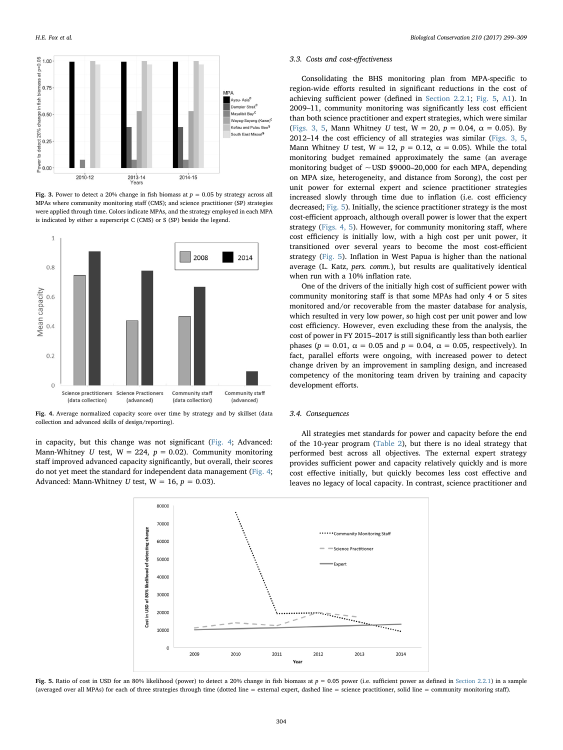<span id="page-5-0"></span>

Fig. 3. Power to detect a 20% change in fish biomass at  $p = 0.05$  by strategy across all MPAs where community monitoring staff (CMS); and science practitioner (SP) strategies were applied through time. Colors indicate MPAs, and the strategy employed in each MPA is indicated by either a superscript C (CMS) or S (SP) beside the legend.

<span id="page-5-1"></span>

Fig. 4. Average normalized capacity score over time by strategy and by skillset (data collection and advanced skills of design/reporting).

<span id="page-5-2"></span>in capacity, but this change was not significant ([Fig. 4](#page-5-1); Advanced: Mann-Whitney U test,  $W = 224$ ,  $p = 0.02$ ). Community monitoring staff improved advanced capacity significantly, but overall, their scores do not yet meet the standard for independent data management ([Fig. 4](#page-5-1); Advanced: Mann-Whitney U test,  $W = 16$ ,  $p = 0.03$ ).

#### 3.3. Costs and cost-effectiveness

Consolidating the BHS monitoring plan from MPA-specific to region-wide efforts resulted in significant reductions in the cost of achieving sufficient power (defined in [Section 2.2.1](#page-2-1); [Fig. 5,](#page-5-2) [A1](#page-8-1)). In 2009–11, community monitoring was significantly less cost efficient than both science practitioner and expert strategies, which were similar ([Figs. 3, 5](#page-5-0), Mann Whitney U test,  $W = 20$ ,  $p = 0.04$ ,  $\alpha = 0.05$ ). By 2012–14 the cost efficiency of all strategies was similar [\(Figs. 3, 5](#page-5-0), Mann Whitney U test,  $W = 12$ ,  $p = 0.12$ ,  $\alpha = 0.05$ ). While the total monitoring budget remained approximately the same (an average monitoring budget of  $\sim$  USD \$9000–20,000 for each MPA, depending on MPA size, heterogeneity, and distance from Sorong), the cost per unit power for external expert and science practitioner strategies increased slowly through time due to inflation (i.e. cost efficiency decreased; [Fig. 5](#page-5-2)). Initially, the science practitioner strategy is the most cost-efficient approach, although overall power is lower that the expert strategy [\(Figs. 4, 5](#page-5-1)). However, for community monitoring staff, where cost efficiency is initially low, with a high cost per unit power, it transitioned over several years to become the most cost-efficient strategy ([Fig. 5\)](#page-5-2). Inflation in West Papua is higher than the national average (L. Katz, pers. comm.), but results are qualitatively identical when run with a 10% inflation rate.

One of the drivers of the initially high cost of sufficient power with community monitoring staff is that some MPAs had only 4 or 5 sites monitored and/or recoverable from the master database for analysis, which resulted in very low power, so high cost per unit power and low cost efficiency. However, even excluding these from the analysis, the cost of power in FY 2015–2017 is still significantly less than both earlier phases ( $p = 0.01$ ,  $\alpha = 0.05$  and  $p = 0.04$ ,  $\alpha = 0.05$ , respectively). In fact, parallel efforts were ongoing, with increased power to detect change driven by an improvement in sampling design, and increased competency of the monitoring team driven by training and capacity development efforts.

#### 3.4. Consequences

All strategies met standards for power and capacity before the end of the 10-year program ([Table 2](#page-6-1)), but there is no ideal strategy that performed best across all objectives. The external expert strategy provides sufficient power and capacity relatively quickly and is more cost effective initially, but quickly becomes less cost effective and leaves no legacy of local capacity. In contrast, science practitioner and



Fig. 5. Ratio of cost in USD for an 80% likelihood (power) to detect a 20% change in fish biomass at  $p = 0.05$  power (i.e. sufficient power as defined in [Section 2.2.1\)](#page-2-1) in a sample (averaged over all MPAs) for each of three strategies through time (dotted line = external expert, dashed line = science practitioner, solid line = community monitoring staff).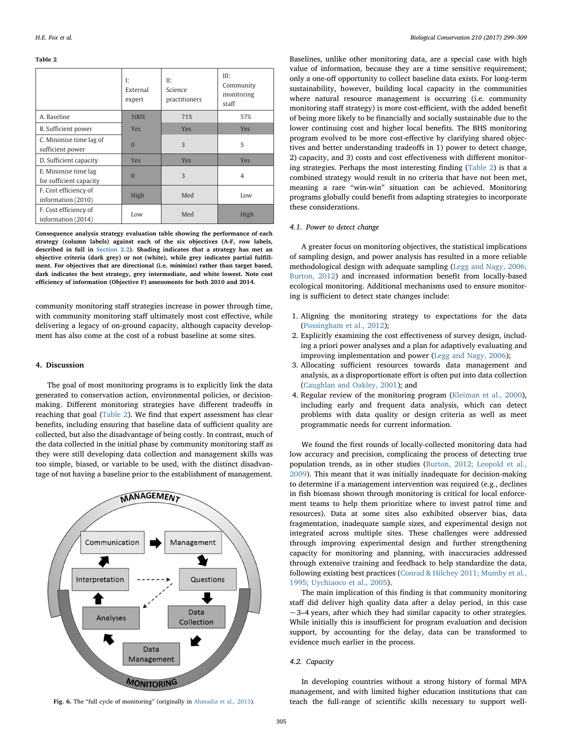#### <span id="page-6-1"></span>Table 2

|                                                 | Ŀ<br>External<br>expert | II:<br>Science<br>practitioners | III:<br>Community<br>monitoring<br>staff |
|-------------------------------------------------|-------------------------|---------------------------------|------------------------------------------|
| A. Baseline                                     | 100%                    | 71%                             | 57%                                      |
| B. Sufficient power                             | <b>Yes</b>              | <b>Yes</b>                      | <b>Yes</b>                               |
| C. Minimise time lag of<br>sufficient power     | $\Omega$                | 3                               | 5                                        |
| D. Sufficient capacity                          | Yes                     | Yes                             | <b>Yes</b>                               |
| E. Minimise time lag<br>for sufficient capacity | $\Omega$                | 3                               | 4                                        |
| F. Cost efficiency of<br>information (2010)     | High                    | Med                             | Low                                      |
| F. Cost efficiency of<br>information (2014)     | Low                     | Med                             | High                                     |

Consequence analysis strategy evaluation table showing the performance of each strategy (column labels) against each of the six objectives (A-F, row labels, described in full in [Section 2.2](#page-2-3)). Shading indicates that a strategy has met an objective criteria (dark grey) or not (white), while grey indicates partial fulfillment. For objectives that are directional (i.e. minimize) rather than target based, dark indicates the best strategy, grey intermediate, and white lowest. Note cost efficiency of information (Objective F) assessments for both 2010 and 2014.

community monitoring staff strategies increase in power through time, with community monitoring staff ultimately most cost effective, while delivering a legacy of on-ground capacity, although capacity development has also come at the cost of a robust baseline at some sites.

### 4. Discussion

The goal of most monitoring programs is to explicitly link the data generated to conservation action, environmental policies, or decisionmaking. Different monitoring strategies have different tradeoffs in reaching that goal [\(Table 2](#page-6-1)). We find that expert assessment has clear benefits, including ensuring that baseline data of sufficient quality are collected, but also the disadvantage of being costly. In contrast, much of the data collected in the initial phase by community monitoring staff as they were still developing data collection and management skills was too simple, biased, or variable to be used, with the distinct disadvantage of not having a baseline prior to the establishment of management.

<span id="page-6-2"></span>

Baselines, unlike other monitoring data, are a special case with high value of information, because they are a time sensitive requirement; only a one-off opportunity to collect baseline data exists. For long-term sustainability, however, building local capacity in the communities where natural resource management is occurring (i.e. community monitoring staff strategy) is more cost-efficient, with the added benefit of being more likely to be financially and socially sustainable due to the lower continuing cost and higher local benefits. The BHS monitoring program evolved to be more cost-effective by clarifying shared objectives and better understanding tradeoffs in 1) power to detect change, 2) capacity, and 3) costs and cost effectiveness with different monitoring strategies. Perhaps the most interesting finding [\(Table 2](#page-6-1)) is that a combined strategy would result in no criteria that have not been met, meaning a rare "win-win" situation can be achieved. Monitoring programs globally could benefit from adapting strategies to incorporate these considerations.

#### <span id="page-6-0"></span>4.1. Power to detect change

A greater focus on monitoring objectives, the statistical implications of sampling design, and power analysis has resulted in a more reliable methodological design with adequate sampling ([Legg and Nagy, 2006;](#page-9-6) [Burton, 2012\)](#page-9-6) and increased information benefit from locally-based ecological monitoring. Additional mechanisms used to ensure monitoring is sufficient to detect state changes include:

- 1. Aligning the monitoring strategy to expectations for the data [\(Possingham et al., 2012\)](#page-10-1);
- 2. Explicitly examining the cost effectiveness of survey design, including a priori power analyses and a plan for adaptively evaluating and improving implementation and power [\(Legg and Nagy, 2006](#page-9-6));
- 3. Allocating sufficient resources towards data management and analysis, as a disproportionate effort is often put into data collection [\(Caughlan and Oakley, 2001\)](#page-9-25); and
- 4. Regular review of the monitoring program ([Kleiman et al., 2000](#page-9-26)), including early and frequent data analysis, which can detect problems with data quality or design criteria as well as meet programmatic needs for current information.

We found the first rounds of locally-collected monitoring data had low accuracy and precision, complicaing the process of detecting true population trends, as in other studies ([Burton, 2012; Leopold et al.,](#page-9-7) [2009\)](#page-9-7). This meant that it was initially inadequate for decision-making to determine if a management intervention was required (e.g., declines in fish biomass shown through monitoring is critical for local enforcement teams to help them prioritize where to invest patrol time and resources). Data at some sites also exhibited observer bias, data fragmentation, inadequate sample sizes, and experimental design not integrated across multiple sites. These challenges were addressed through improving experimental design and further strengthening capacity for monitoring and planning, with inaccuracies addressed through extensive training and feedback to help standardize the data, following existing best practices ([Conrad & Hilchey 2011; Mumby et al.,](#page-9-27) [1995; Uychiaoco et al., 2005\)](#page-9-27).

The main implication of this finding is that community monitoring staff did deliver high quality data after a delay period, in this case  $\sim$  3–4 years, after which they had similar capacity to other strategies. While initially this is insufficient for program evaluation and decision support, by accounting for the delay, data can be transformed to evidence much earlier in the process.

#### 4.2. Capacity

In developing countries without a strong history of formal MPA management, and with limited higher education institutions that can Fig. 6. The "full cycle of monitoring" (originally in [Ahmadia et al., 2013](#page-9-20)). teach the full-range of scientific skills necessary to support well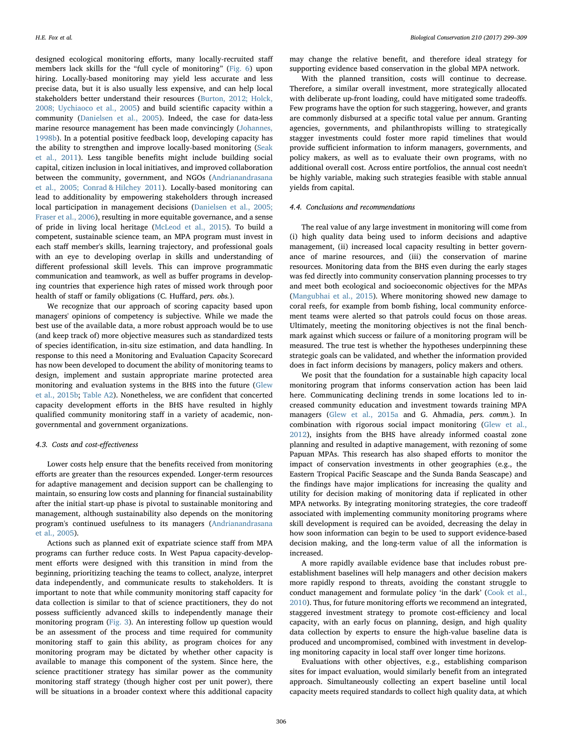designed ecological monitoring efforts, many locally-recruited staff members lack skills for the "full cycle of monitoring" ([Fig. 6](#page-6-2)) upon hiring. Locally-based monitoring may yield less accurate and less precise data, but it is also usually less expensive, and can help local stakeholders better understand their resources [\(Burton, 2012; Holck,](#page-9-7) [2008; Uychiaoco et al., 2005\)](#page-9-7) and build scientific capacity within a community [\(Danielsen et al., 2005](#page-9-8)). Indeed, the case for data-less marine resource management has been made convincingly [\(Johannes,](#page-9-28) [1998b\)](#page-9-28). In a potential positive feedback loop, developing capacity has the ability to strengthen and improve locally-based monitoring [\(Seak](#page-10-13) [et al., 2011\)](#page-10-13). Less tangible benefits might include building social capital, citizen inclusion in local initiatives, and improved collaboration between the community, government, and NGOs [\(Andrianandrasana](#page-9-29) [et al., 2005; Conrad & Hilchey 2011](#page-9-29)). Locally-based monitoring can lead to additionality by empowering stakeholders through increased local participation in management decisions ([Danielsen et al., 2005;](#page-9-8) [Fraser et al., 2006\)](#page-9-8), resulting in more equitable governance, and a sense of pride in living local heritage ([McLeod et al., 2015](#page-10-2)). To build a competent, sustainable science team, an MPA program must invest in each staff member's skills, learning trajectory, and professional goals with an eye to developing overlap in skills and understanding of different professional skill levels. This can improve programmatic communication and teamwork, as well as buffer programs in developing countries that experience high rates of missed work through poor health of staff or family obligations (C. Huffard, pers. obs.).

We recognize that our approach of scoring capacity based upon managers' opinions of competency is subjective. While we made the best use of the available data, a more robust approach would be to use (and keep track of) more objective measures such as standardized tests of species identification, in-situ size estimation, and data handling. In response to this need a Monitoring and Evaluation Capacity Scorecard has now been developed to document the ability of monitoring teams to design, implement and sustain appropriate marine protected area monitoring and evaluation systems in the BHS into the future ([Glew](#page-9-23) [et al., 2015b;](#page-9-23) [Table A2\)](#page-9-24). Nonetheless, we are confident that concerted capacity development efforts in the BHS have resulted in highly qualified community monitoring staff in a variety of academic, nongovernmental and government organizations.

#### 4.3. Costs and cost-effectiveness

Lower costs help ensure that the benefits received from monitoring efforts are greater than the resources expended. Longer-term resources for adaptive management and decision support can be challenging to maintain, so ensuring low costs and planning for financial sustainability after the initial start-up phase is pivotal to sustainable monitoring and management, although sustainability also depends on the monitoring program's continued usefulness to its managers [\(Andrianandrasana](#page-9-29) [et al., 2005](#page-9-29)).

Actions such as planned exit of expatriate science staff from MPA programs can further reduce costs. In West Papua capacity-development efforts were designed with this transition in mind from the beginning, prioritizing teaching the teams to collect, analyze, interpret data independently, and communicate results to stakeholders. It is important to note that while community monitoring staff capacity for data collection is similar to that of science practitioners, they do not possess sufficiently advanced skills to independently manage their monitoring program ([Fig. 3](#page-5-0)). An interesting follow up question would be an assessment of the process and time required for community monitoring staff to gain this ability, as program choices for any monitoring program may be dictated by whether other capacity is available to manage this component of the system. Since here, the science practitioner strategy has similar power as the community monitoring staff strategy (though higher cost per unit power), there will be situations in a broader context where this additional capacity

may change the relative benefit, and therefore ideal strategy for supporting evidence based conservation in the global MPA network.

With the planned transition, costs will continue to decrease. Therefore, a similar overall investment, more strategically allocated with deliberate up-front loading, could have mitigated some tradeoffs. Few programs have the option for such staggering, however, and grants are commonly disbursed at a specific total value per annum. Granting agencies, governments, and philanthropists willing to strategically stagger investments could foster more rapid timelines that would provide sufficient information to inform managers, governments, and policy makers, as well as to evaluate their own programs, with no additional overall cost. Across entire portfolios, the annual cost needn't be highly variable, making such strategies feasible with stable annual yields from capital.

#### 4.4. Conclusions and recommendations

The real value of any large investment in monitoring will come from (i) high quality data being used to inform decisions and adaptive management, (ii) increased local capacity resulting in better governance of marine resources, and (iii) the conservation of marine resources. Monitoring data from the BHS even during the early stages was fed directly into community conservation planning processes to try and meet both ecological and socioeconomic objectives for the MPAs ([Mangubhai et al., 2015\)](#page-10-14). Where monitoring showed new damage to coral reefs, for example from bomb fishing, local community enforcement teams were alerted so that patrols could focus on those areas. Ultimately, meeting the monitoring objectives is not the final benchmark against which success or failure of a monitoring program will be measured. The true test is whether the hypotheses underpinning these strategic goals can be validated, and whether the information provided does in fact inform decisions by managers, policy makers and others.

We posit that the foundation for a sustainable high capacity local monitoring program that informs conservation action has been laid here. Communicating declining trends in some locations led to increased community education and investment towards training MPA managers ([Glew et al., 2015a](#page-9-21) and G. Ahmadia, pers. comm.). In combination with rigorous social impact monitoring [\(Glew et al.,](#page-9-18) [2012\)](#page-9-18), insights from the BHS have already informed coastal zone planning and resulted in adaptive management, with rezoning of some Papuan MPAs. This research has also shaped efforts to monitor the impact of conservation investments in other geographies (e.g., the Eastern Tropical Pacific Seascape and the Sunda Banda Seascape) and the findings have major implications for increasing the quality and utility for decision making of monitoring data if replicated in other MPA networks. By integrating monitoring strategies, the core tradeoff associated with implementing community monitoring programs where skill development is required can be avoided, decreasing the delay in how soon information can begin to be used to support evidence-based decision making, and the long-term value of all the information is increased.

A more rapidly available evidence base that includes robust preestablishment baselines will help managers and other decision makers more rapidly respond to threats, avoiding the constant struggle to conduct management and formulate policy 'in the dark' ([Cook et al.,](#page-9-30) [2010\)](#page-9-30). Thus, for future monitoring efforts we recommend an integrated, staggered investment strategy to promote cost-efficiency and local capacity, with an early focus on planning, design, and high quality data collection by experts to ensure the high-value baseline data is produced and uncompromised, combined with investment in developing monitoring capacity in local staff over longer time horizons.

Evaluations with other objectives, e.g., establishing comparison sites for impact evaluation, would similarly benefit from an integrated approach. Simultaneously collecting an expert baseline until local capacity meets required standards to collect high quality data, at which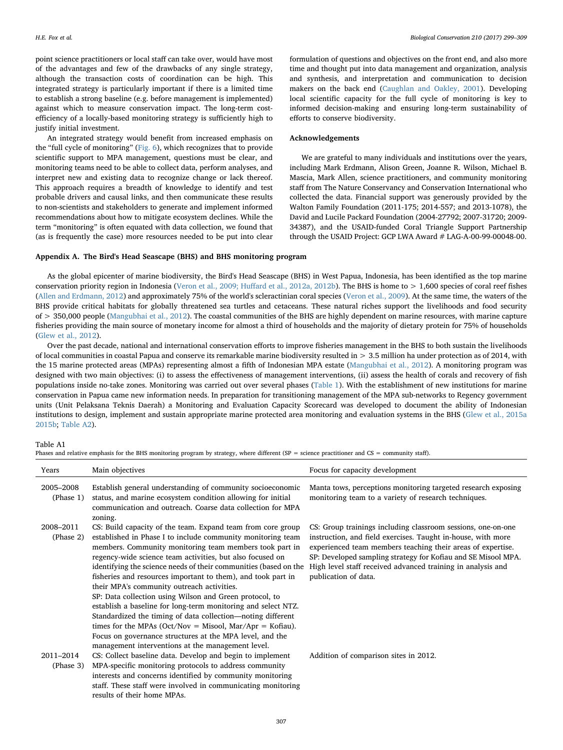point science practitioners or local staff can take over, would have most of the advantages and few of the drawbacks of any single strategy, although the transaction costs of coordination can be high. This integrated strategy is particularly important if there is a limited time to establish a strong baseline (e.g. before management is implemented) against which to measure conservation impact. The long-term costefficiency of a locally-based monitoring strategy is sufficiently high to justify initial investment.

An integrated strategy would benefit from increased emphasis on the "full cycle of monitoring" [\(Fig. 6\)](#page-6-2), which recognizes that to provide scientific support to MPA management, questions must be clear, and monitoring teams need to be able to collect data, perform analyses, and interpret new and existing data to recognize change or lack thereof. This approach requires a breadth of knowledge to identify and test probable drivers and causal links, and then communicate these results to non-scientists and stakeholders to generate and implement informed recommendations about how to mitigate ecosystem declines. While the term "monitoring" is often equated with data collection, we found that (as is frequently the case) more resources needed to be put into clear

formulation of questions and objectives on the front end, and also more time and thought put into data management and organization, analysis and synthesis, and interpretation and communication to decision makers on the back end ([Caughlan and Oakley, 2001](#page-9-25)). Developing local scientific capacity for the full cycle of monitoring is key to informed decision-making and ensuring long-term sustainability of efforts to conserve biodiversity.

#### Acknowledgements

We are grateful to many individuals and institutions over the years, including Mark Erdmann, Alison Green, Joanne R. Wilson, Michael B. Mascia, Mark Allen, science practitioners, and community monitoring staff from The Nature Conservancy and Conservation International who collected the data. Financial support was generously provided by the Walton Family Foundation (2011-175; 2014-557; and 2013-1078), the David and Lucile Packard Foundation (2004-27792; 2007-31720; 2009- 34387), and the USAID-funded Coral Triangle Support Partnership through the USAID Project: GCP LWA Award # LAG-A-00-99-00048-00.

#### <span id="page-8-0"></span>Appendix A. The Bird's Head Seascape (BHS) and BHS monitoring program

As the global epicenter of marine biodiversity, the Bird's Head Seascape (BHS) in West Papua, Indonesia, has been identified as the top marine conservation priority region in Indonesia (Veron et al., 2009; Huff[ard et al., 2012a, 2012b](#page-10-15)). The BHS is home to > 1,600 species of coral reef fishes ([Allen and Erdmann, 2012](#page-9-31)) and approximately 75% of the world's scleractinian coral species [\(Veron et al., 2009\)](#page-10-15). At the same time, the waters of the BHS provide critical habitats for globally threatened sea turtles and cetaceans. These natural riches support the livelihoods and food security of > 350,000 people [\(Mangubhai et al., 2012\)](#page-9-15). The coastal communities of the BHS are highly dependent on marine resources, with marine capture fisheries providing the main source of monetary income for almost a third of households and the majority of dietary protein for 75% of households ([Glew et al., 2012](#page-9-18)).

Over the past decade, national and international conservation efforts to improve fisheries management in the BHS to both sustain the livelihoods of local communities in coastal Papua and conserve its remarkable marine biodiversity resulted in > 3.5 million ha under protection as of 2014, with the 15 marine protected areas (MPAs) representing almost a fifth of Indonesian MPA estate [\(Mangubhai et al., 2012](#page-9-15)). A monitoring program was designed with two main objectives: (i) to assess the effectiveness of management interventions, (ii) assess the health of corals and recovery of fish populations inside no-take zones. Monitoring was carried out over several phases [\(Table 1\)](#page-4-1). With the establishment of new institutions for marine conservation in Papua came new information needs. In preparation for transitioning management of the MPA sub-networks to Regency government units (Unit Pelaksana Teknis Daerah) a Monitoring and Evaluation Capacity Scorecard was developed to document the ability of Indonesian institutions to design, implement and sustain appropriate marine protected area monitoring and evaluation systems in the BHS ([Glew et al., 2015a](#page-9-21) [2015b;](#page-9-21) [Table A2\)](#page-9-24).

#### <span id="page-8-1"></span>Table A1

Phases and relative emphasis for the BHS monitoring program by strategy, where different (SP = science practitioner and CS = community staff).

| Years                  | Main objectives                                                                                                                                                                                                                                                                                                                                                                                                                                                                                                                                                                                                                                                                                                                                                                                              | Focus for capacity development                                                                                                                                                                                                                                                                                                                      |
|------------------------|--------------------------------------------------------------------------------------------------------------------------------------------------------------------------------------------------------------------------------------------------------------------------------------------------------------------------------------------------------------------------------------------------------------------------------------------------------------------------------------------------------------------------------------------------------------------------------------------------------------------------------------------------------------------------------------------------------------------------------------------------------------------------------------------------------------|-----------------------------------------------------------------------------------------------------------------------------------------------------------------------------------------------------------------------------------------------------------------------------------------------------------------------------------------------------|
| 2005-2008<br>(Phase 1) | Establish general understanding of community socioeconomic<br>status, and marine ecosystem condition allowing for initial<br>communication and outreach. Coarse data collection for MPA<br>zoning.                                                                                                                                                                                                                                                                                                                                                                                                                                                                                                                                                                                                           | Manta tows, perceptions monitoring targeted research exposing<br>monitoring team to a variety of research techniques.                                                                                                                                                                                                                               |
| 2008-2011<br>(Phase 2) | CS: Build capacity of the team. Expand team from core group<br>established in Phase I to include community monitoring team<br>members. Community monitoring team members took part in<br>regency-wide science team activities, but also focused on<br>identifying the science needs of their communities (based on the<br>fisheries and resources important to them), and took part in<br>their MPA's community outreach activities.<br>SP: Data collection using Wilson and Green protocol, to<br>establish a baseline for long-term monitoring and select NTZ.<br>Standardized the timing of data collection—noting different<br>times for the MPAs (Oct/Nov = Misool, Mar/Apr = Kofiau).<br>Focus on governance structures at the MPA level, and the<br>management interventions at the management level. | CS: Group trainings including classroom sessions, one-on-one<br>instruction, and field exercises. Taught in-house, with more<br>experienced team members teaching their areas of expertise.<br>SP: Developed sampling strategy for Kofiau and SE Misool MPA.<br>High level staff received advanced training in analysis and<br>publication of data. |
| 2011-2014<br>(Phase 3) | CS: Collect baseline data. Develop and begin to implement<br>MPA-specific monitoring protocols to address community<br>interests and concerns identified by community monitoring<br>staff. These staff were involved in communicating monitoring<br>results of their home MPAs.                                                                                                                                                                                                                                                                                                                                                                                                                                                                                                                              | Addition of comparison sites in 2012.                                                                                                                                                                                                                                                                                                               |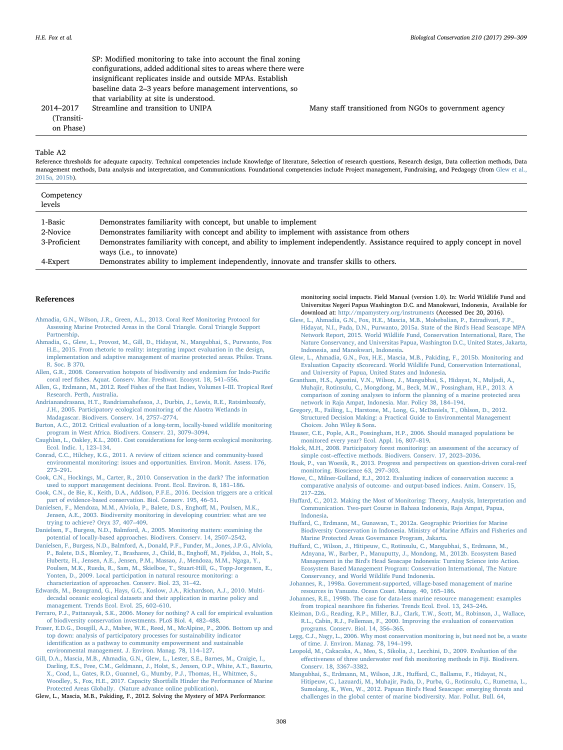|            | SP: Modified monitoring to take into account the final zoning    |                                                        |
|------------|------------------------------------------------------------------|--------------------------------------------------------|
|            | configurations, added additional sites to areas where there were |                                                        |
|            | insignificant replicates inside and outside MPAs. Establish      |                                                        |
|            | baseline data 2–3 years before management interventions, so      |                                                        |
|            | that variability at site is understood.                          |                                                        |
| 2014–2017  | Streamline and transition to UNIPA                               | Many staff transitioned from NGOs to government agency |
| (Transiti- |                                                                  |                                                        |
| on Phase)  |                                                                  |                                                        |

#### <span id="page-9-24"></span>Table A2

Reference thresholds for adequate capacity. Technical competencies include Knowledge of literature, Selection of research questions, Research design, Data collection methods, Data management methods, Data analysis and interpretation, and Communications. Foundational competencies include Project management, Fundraising, and Pedagogy (from [Glew et al.,](#page-9-21) [2015a, 2015b](#page-9-21)).

| Competency<br>levels                |                                                                                                                                                                                                                                                                                                                                   |
|-------------------------------------|-----------------------------------------------------------------------------------------------------------------------------------------------------------------------------------------------------------------------------------------------------------------------------------------------------------------------------------|
| 1-Basic<br>2-Novice<br>3-Proficient | Demonstrates familiarity with concept, but unable to implement<br>Demonstrates familiarity with concept and ability to implement with assistance from others<br>Demonstrates familiarity with concept, and ability to implement independently. Assistance required to apply concept in novel<br>ways ( <i>i.e.</i> , to innovate) |
| 4-Expert                            | Demonstrates ability to implement independently, innovate and transfer skills to others.                                                                                                                                                                                                                                          |

#### References

- <span id="page-9-20"></span>[Ahmadia, G.N., Wilson, J.R., Green, A.L., 2013. Coral Reef Monitoring Protocol for](http://refhub.elsevier.com/S0006-3207(16)31124-7/rf0005) [Assessing Marine Protected Areas in the Coral Triangle. Coral Triangle Support](http://refhub.elsevier.com/S0006-3207(16)31124-7/rf0005) [Partnership](http://refhub.elsevier.com/S0006-3207(16)31124-7/rf0005).
- <span id="page-9-13"></span>[Ahmadia, G., Glew, L., Provost, M., Gill, D., Hidayat, N., Mangubhai, S., Purwanto, Fox](http://refhub.elsevier.com/S0006-3207(16)31124-7/rf0010) [H.E., 2015. From rhetoric to reality: integrating impact evaluation in the design,](http://refhub.elsevier.com/S0006-3207(16)31124-7/rf0010) [implementation and adaptive management of marine protected areas. Philos. Trans.](http://refhub.elsevier.com/S0006-3207(16)31124-7/rf0010) [R. Soc. B 370](http://refhub.elsevier.com/S0006-3207(16)31124-7/rf0010).
- <span id="page-9-14"></span>[Allen, G.R., 2008. Conservation hotspots of biodiversity and endemism for Indo-Paci](http://refhub.elsevier.com/S0006-3207(16)31124-7/rf0015)fic coral reef fi[shes. Aquat. Conserv. Mar. Freshwat. Ecosyst. 18, 541](http://refhub.elsevier.com/S0006-3207(16)31124-7/rf0015)–556.
- <span id="page-9-31"></span>[Allen, G., Erdmann, M., 2012. Reef Fishes of the East Indies, Volumes I](http://refhub.elsevier.com/S0006-3207(16)31124-7/rf0020)–III. Tropical Reef [Research. Perth, Australia](http://refhub.elsevier.com/S0006-3207(16)31124-7/rf0020). [Andrianandrasana, H.T., Randriamahefasoa, J., Durbin, J., Lewis, R.E., Ratsimbazafy,](http://refhub.elsevier.com/S0006-3207(16)31124-7/rf0025)
- <span id="page-9-29"></span>[J.H., 2005. Participatory ecological monitoring of the Alaotra Wetlands in](http://refhub.elsevier.com/S0006-3207(16)31124-7/rf0025) [Madagascar. Biodivers. Conserv. 14, 2757](http://refhub.elsevier.com/S0006-3207(16)31124-7/rf0025)–2774.
- <span id="page-9-7"></span>[Burton, A.C., 2012. Critical evaluation of a long-term, locally-based wildlife monitoring](http://refhub.elsevier.com/S0006-3207(16)31124-7/rf0030) [program in West Africa. Biodivers. Conserv. 21, 3079](http://refhub.elsevier.com/S0006-3207(16)31124-7/rf0030)–3094.
- <span id="page-9-25"></span>[Caughlan, L., Oakley, K.L., 2001. Cost considerations for long-term ecological monitoring.](http://refhub.elsevier.com/S0006-3207(16)31124-7/rf0035) [Ecol. Indic. 1, 123](http://refhub.elsevier.com/S0006-3207(16)31124-7/rf0035)–134.
- <span id="page-9-27"></span>[Conrad, C.C., Hilchey, K.G., 2011. A review of citizen science and community-based](http://refhub.elsevier.com/S0006-3207(16)31124-7/rf9000) [environmental monitoring: issues and opportunities. Environ. Monit. Assess. 176,](http://refhub.elsevier.com/S0006-3207(16)31124-7/rf9000) 273–[291](http://refhub.elsevier.com/S0006-3207(16)31124-7/rf9000).
- <span id="page-9-30"></span>[Cook, C.N., Hockings, M., Carter, R., 2010. Conservation in the dark? The information](http://refhub.elsevier.com/S0006-3207(16)31124-7/rf0040) [used to support management decisions. Front. Ecol. Environ. 8, 181](http://refhub.elsevier.com/S0006-3207(16)31124-7/rf0040)–186.
- <span id="page-9-2"></span>[Cook, C.N., de Bie, K., Keith, D.A., Addison, P.F.E., 2016. Decision triggers are a critical](http://refhub.elsevier.com/S0006-3207(16)31124-7/rf0045) [part of evidence-based conservation. Biol. Conserv. 195, 46](http://refhub.elsevier.com/S0006-3207(16)31124-7/rf0045)–51.
- <span id="page-9-10"></span>[Danielsen, F., Mendoza, M.M., Alviola, P., Balete, D.S., Engho](http://refhub.elsevier.com/S0006-3207(16)31124-7/rf0050)ff, M., Poulsen, M.K., [Jensen, A.E., 2003. Biodiversity monitoring in developing countries: what are we](http://refhub.elsevier.com/S0006-3207(16)31124-7/rf0050) [trying to achieve? Oryx 37, 407](http://refhub.elsevier.com/S0006-3207(16)31124-7/rf0050)–409.
- <span id="page-9-8"></span>[Danielsen, F., Burgess, N.D., Balmford, A., 2005. Monitoring matters: examining the](http://refhub.elsevier.com/S0006-3207(16)31124-7/rf0055) [potential of locally-based approaches. Biodivers. Conserv. 14, 2507](http://refhub.elsevier.com/S0006-3207(16)31124-7/rf0055)–2542.
- <span id="page-9-12"></span>[Danielsen, F., Burgess, N.D., Balmford, A., Donald, P.F., Funder, M., Jones, J.P.G., Alviola,](http://refhub.elsevier.com/S0006-3207(16)31124-7/rf0060) [P., Balete, D.S., Blomley, T., Brashares, J., Child, B., Engho](http://refhub.elsevier.com/S0006-3207(16)31124-7/rf0060)ff, M., Fjeldsa, J., Holt, S., [Hubertz, H., Jensen, A.E., Jensen, P.M., Massao, J., Mendoza, M.M., Ngaga, Y.,](http://refhub.elsevier.com/S0006-3207(16)31124-7/rf0060) [Poulsen, M.K., Rueda, R., Sam, M., Skielboe, T., Stuart-Hill, G., Topp-Jorgensen, E.,](http://refhub.elsevier.com/S0006-3207(16)31124-7/rf0060) [Yonten, D., 2009. Local participation in natural resource monitoring: a](http://refhub.elsevier.com/S0006-3207(16)31124-7/rf0060) [characterization of approaches. Conserv. Biol. 23, 31](http://refhub.elsevier.com/S0006-3207(16)31124-7/rf0060)–42.
- <span id="page-9-9"></span>[Edwards, M., Beaugrand, G., Hays, G.C., Koslow, J.A., Richardson, A.J., 2010. Multi](http://refhub.elsevier.com/S0006-3207(16)31124-7/rf0065)[decadal oceanic ecological datasets and their application in marine policy and](http://refhub.elsevier.com/S0006-3207(16)31124-7/rf0065) [management. Trends Ecol. Evol. 25, 602](http://refhub.elsevier.com/S0006-3207(16)31124-7/rf0065)–610.
- <span id="page-9-0"></span>[Ferraro, P.J., Pattanayak, S.K., 2006. Money for nothing? A call for empirical evaluation](http://refhub.elsevier.com/S0006-3207(16)31124-7/rf0070) [of biodiversity conservation investments. PLoS Biol. 4, 482](http://refhub.elsevier.com/S0006-3207(16)31124-7/rf0070)–488.
- [Fraser, E.D.G., Dougill, A.J., Mabee, W.E., Reed, M., McAlpine, P., 2006. Bottom up and](http://refhub.elsevier.com/S0006-3207(16)31124-7/rf0075) [top down: analysis of participatory processes for sustainability indicator](http://refhub.elsevier.com/S0006-3207(16)31124-7/rf0075) identifi[cation as a pathway to community empowerment and sustainable](http://refhub.elsevier.com/S0006-3207(16)31124-7/rf0075) [environmental management. J. Environ. Manag. 78, 114](http://refhub.elsevier.com/S0006-3207(16)31124-7/rf0075)–127.
- <span id="page-9-1"></span>[Gill, D.A., Mascia, M.B., Ahmadia, G.N., Glew, L., Lester, S.E., Barnes, M., Craigie, I.,](http://refhub.elsevier.com/S0006-3207(16)31124-7/rf0080) [Darling, E.S., Free, C.M., Geldmann, J., Holst, S., Jensen, O.P., White, A.T., Basurto,](http://refhub.elsevier.com/S0006-3207(16)31124-7/rf0080) [X., Coad, L., Gates, R.D., Guannel, G., Mumby, P.J., Thomas, H., Whitmee, S.,](http://refhub.elsevier.com/S0006-3207(16)31124-7/rf0080) [Woodley, S., Fox, H.E., 2017. Capacity Shortfalls Hinder the Performance of Marine](http://refhub.elsevier.com/S0006-3207(16)31124-7/rf0080) [Protected Areas Globally. \(Nature advance online publication\)](http://refhub.elsevier.com/S0006-3207(16)31124-7/rf0080).

<span id="page-9-18"></span>Glew, L., Mascia, M.B., Pakiding, F., 2012. Solving the Mystery of MPA Performance:

monitoring social impacts. Field Manual (version 1.0). In: World Wildlife Fund and Universitas Negeri Papua Washington D.C. and Manokwari, Indonesia, Available for download at: <http://mpamystery.org/instruments> (Accessed Dec 20, 2016).

- <span id="page-9-21"></span>[Glew, L., Ahmadia, G.N., Fox, H.E., Mascia, M.B., Mohebalian, P., Estradivari, F.P.,](http://refhub.elsevier.com/S0006-3207(16)31124-7/rf0095) [Hidayat, N.I., Pada, D.N., Purwanto, 2015a. State of the Bird's Head Seascape MPA](http://refhub.elsevier.com/S0006-3207(16)31124-7/rf0095) [Network Report, 2015. World Wildlife Fund, Conservation International, Rare, The](http://refhub.elsevier.com/S0006-3207(16)31124-7/rf0095) [Nature Conservancy, and Universitas Papua, Washington D.C., United States, Jakarta,](http://refhub.elsevier.com/S0006-3207(16)31124-7/rf0095) [Indonesia, and Manokwari, Indonesia](http://refhub.elsevier.com/S0006-3207(16)31124-7/rf0095).
- <span id="page-9-23"></span>[Glew, L., Ahmadia, G.N., Fox, H.E., Mascia, M.B., Pakiding, F., 2015b. Monitoring and](http://refhub.elsevier.com/S0006-3207(16)31124-7/rf0100) [Evaluation Capacity sScorecard. World Wildlife Fund, Conservation International,](http://refhub.elsevier.com/S0006-3207(16)31124-7/rf0100) [and University of Papua, United States and Indonesia.](http://refhub.elsevier.com/S0006-3207(16)31124-7/rf0100)
- <span id="page-9-16"></span>[Grantham, H.S., Agostini, V.N., Wilson, J., Mangubhai, S., Hidayat, N., Muljadi, A.,](http://refhub.elsevier.com/S0006-3207(16)31124-7/rf0110) [Muhajir, Rotinsulu, C., Mongdong, M., Beck, M.W., Possingham, H.P., 2013. A](http://refhub.elsevier.com/S0006-3207(16)31124-7/rf0110) [comparison of zoning analyses to inform the planning of a marine protected area](http://refhub.elsevier.com/S0006-3207(16)31124-7/rf0110) [network in Raja Ampat, Indonesia. Mar. Policy 38, 184](http://refhub.elsevier.com/S0006-3207(16)31124-7/rf0110)–194.
- <span id="page-9-19"></span>[Gregory, R., Failing, L., Harstone, M., Long, G., McDaniels, T., Ohlson, D., 2012.](http://refhub.elsevier.com/S0006-3207(16)31124-7/rf0115) [Structured Decision Making: a Practical Guide to Environmental Management](http://refhub.elsevier.com/S0006-3207(16)31124-7/rf0115) [Choices. John Wiley & Sons](http://refhub.elsevier.com/S0006-3207(16)31124-7/rf0115).
- <span id="page-9-5"></span>[Hauser, C.E., Pople, A.R., Possingham, H.P., 2006. Should managed populations be](http://refhub.elsevier.com/S0006-3207(16)31124-7/rf0120) [monitored every year? Ecol. Appl. 16, 807](http://refhub.elsevier.com/S0006-3207(16)31124-7/rf0120)–819.
- [Holck, M.H., 2008. Participatory forest monitoring: an assessment of the accuracy of](http://refhub.elsevier.com/S0006-3207(16)31124-7/rf0125) simple cost–eff[ective methods. Biodivers. Conserv. 17, 2023](http://refhub.elsevier.com/S0006-3207(16)31124-7/rf0125)–2036.
- <span id="page-9-4"></span>[Houk, P., van Woesik, R., 2013. Progress and perspectives on question-driven coral-reef](http://refhub.elsevier.com/S0006-3207(16)31124-7/rf0130) [monitoring. Bioscience 63, 297](http://refhub.elsevier.com/S0006-3207(16)31124-7/rf0130)–303.
- <span id="page-9-3"></span>[Howe, C., Milner-Gulland, E.J., 2012. Evaluating indices of conservation success: a](http://refhub.elsevier.com/S0006-3207(16)31124-7/rf0135) [comparative analysis of outcome- and output-based indices. Anim. Conserv. 15,](http://refhub.elsevier.com/S0006-3207(16)31124-7/rf0135) 217–[226](http://refhub.elsevier.com/S0006-3207(16)31124-7/rf0135).
- <span id="page-9-22"></span>Huff[ard, C., 2012. Making the Most of Monitoring: Theory, Analysis, Interpretation and](http://refhub.elsevier.com/S0006-3207(16)31124-7/rf0140) [Communication. Two-part Course in Bahasa Indonesia, Raja Ampat, Papua,](http://refhub.elsevier.com/S0006-3207(16)31124-7/rf0140) [Indonesia.](http://refhub.elsevier.com/S0006-3207(16)31124-7/rf0140)
- <span id="page-9-17"></span>Huff[ard, C., Erdmann, M., Gunawan, T., 2012a. Geographic Priorities for Marine](http://refhub.elsevier.com/S0006-3207(16)31124-7/rf0145) [Biodiversity Conservation in Indonesia. Ministry of Marine A](http://refhub.elsevier.com/S0006-3207(16)31124-7/rf0145)ffairs and Fisheries and [Marine Protected Areas Governance Program, Jakarta.](http://refhub.elsevier.com/S0006-3207(16)31124-7/rf0145)
- Huff[ard, C., Wilson, J., Hitipeuw, C., Rotinsulu, C., Mangubhai, S., Erdmann, M.,](http://refhub.elsevier.com/S0006-3207(16)31124-7/rf0150) [Adnyana, W., Barber, P., Manuputty, J., Mondong, M., 2012b. Ecosystem Based](http://refhub.elsevier.com/S0006-3207(16)31124-7/rf0150) [Management in the Bird's Head Seascape Indonesia: Turning Science into Action.](http://refhub.elsevier.com/S0006-3207(16)31124-7/rf0150) [Ecosystem Based Management Program: Conservation International, The Nature](http://refhub.elsevier.com/S0006-3207(16)31124-7/rf0150) [Conservancy, and World Wildlife Fund Indonesia.](http://refhub.elsevier.com/S0006-3207(16)31124-7/rf0150)
- <span id="page-9-11"></span>[Johannes, R., 1998a. Government-supported, village-based management of marine](http://refhub.elsevier.com/S0006-3207(16)31124-7/rf0155) [resources in Vanuatu. Ocean Coast. Manag. 40, 165](http://refhub.elsevier.com/S0006-3207(16)31124-7/rf0155)–186.
- <span id="page-9-28"></span>[Johannes, R.E., 1998b. The case for data-less marine resource management: examples](http://refhub.elsevier.com/S0006-3207(16)31124-7/rf0160) from tropical nearshore fin fi[sheries. Trends Ecol. Evol. 13, 243](http://refhub.elsevier.com/S0006-3207(16)31124-7/rf0160)–246.
- <span id="page-9-26"></span>[Kleiman, D.G., Reading, R.P., Miller, B.J., Clark, T.W., Scott, M., Robinson, J., Wallace,](http://refhub.elsevier.com/S0006-3207(16)31124-7/rf0165) [R.L., Cabin, R.J., Felleman, F., 2000. Improving the evaluation of conservation](http://refhub.elsevier.com/S0006-3207(16)31124-7/rf0165) [programs. Conserv. Biol. 14, 356](http://refhub.elsevier.com/S0006-3207(16)31124-7/rf0165)–365.
- <span id="page-9-6"></span>[Legg, C.J., Nagy, L., 2006. Why most conservation monitoring is, but need not be, a waste](http://refhub.elsevier.com/S0006-3207(16)31124-7/rf0170) [of time. J. Environ. Manag. 78, 194](http://refhub.elsevier.com/S0006-3207(16)31124-7/rf0170)–199.
- [Leopold, M., Cakacaka, A., Meo, S., Sikolia, J., Lecchini, D., 2009. Evaluation of the](http://refhub.elsevier.com/S0006-3207(16)31124-7/rf0175) effectiveness of three underwater reef fi[sh monitoring methods in Fiji. Biodivers.](http://refhub.elsevier.com/S0006-3207(16)31124-7/rf0175) Conserv. [18, 3367](http://refhub.elsevier.com/S0006-3207(16)31124-7/rf0175)–3382.
- <span id="page-9-15"></span>[Mangubhai, S., Erdmann, M., Wilson, J.R., Hu](http://refhub.elsevier.com/S0006-3207(16)31124-7/rf0180)ffard, C., Ballamu, F., Hidayat, N., [Hitipeuw, C., Lazuardi, M., Muhajir, Pada, D., Purba, G., Rotinsulu, C., Rumetna, L.,](http://refhub.elsevier.com/S0006-3207(16)31124-7/rf0180) [Sumolang, K., Wen, W., 2012. Papuan Bird's Head Seascape: emerging threats and](http://refhub.elsevier.com/S0006-3207(16)31124-7/rf0180) [challenges in the global center of marine biodiversity. Mar. Pollut. Bull. 64,](http://refhub.elsevier.com/S0006-3207(16)31124-7/rf0180)